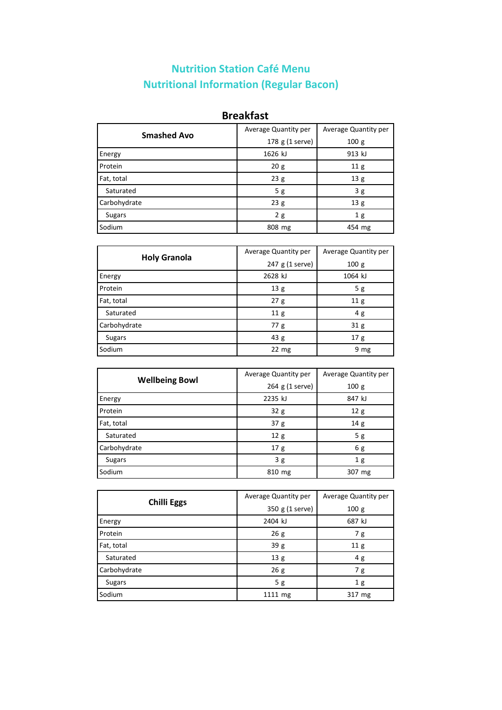## **Nutrition Station Café Menu Nutritional Information (Regular Bacon)**

#### **Breakfast**

| <b>Smashed Avo</b> | Average Quantity per | Average Quantity per |
|--------------------|----------------------|----------------------|
|                    | 178 g (1 serve)      | 100g                 |
| Energy             | 1626 kJ              | 913 kJ               |
| Protein            | 20g                  | 11 <sub>g</sub>      |
| Fat, total         | 23g                  | 13g                  |
| Saturated          | 5g                   | 3g                   |
| Carbohydrate       | 23g                  | 13 g                 |
| <b>Sugars</b>      | 2g                   | 1 <sub>g</sub>       |
| Sodium             | 808 mg               | 454 mg               |

| <b>Holy Granola</b> | Average Quantity per | Average Quantity per |
|---------------------|----------------------|----------------------|
|                     | 247 g (1 serve)      | 100 g                |
| Energy              | 2628 kJ              | 1064 kJ              |
| Protein             | 13 g                 | 5g                   |
| Fat, total          | 27g                  | 11 <sub>g</sub>      |
| Saturated           | 11 <sub>g</sub>      | 4g                   |
| Carbohydrate        | 77g                  | 31 <sub>g</sub>      |
| <b>Sugars</b>       | 43 g                 | 17 <sub>g</sub>      |
| Sodium              | $22 \text{ mg}$      | 9 mg                 |

|                       | Average Quantity per | Average Quantity per |
|-----------------------|----------------------|----------------------|
| <b>Wellbeing Bowl</b> | 264 g (1 serve)      | 100g                 |
| Energy                | 2235 kJ              | 847 kJ               |
| Protein               | 32g                  | 12g                  |
| Fat, total            | 37 <sub>g</sub>      | 14g                  |
| Saturated             | 12 <sub>g</sub>      | 5g                   |
| Carbohydrate          | 17 <sub>g</sub>      | 6 g                  |
| <b>Sugars</b>         | 3g                   | 1 <sub>g</sub>       |
| Sodium                | 810 mg               | 307 mg               |

|                    | Average Quantity per | Average Quantity per |
|--------------------|----------------------|----------------------|
| <b>Chilli Eggs</b> | 350 g (1 serve)      | 100 g                |
| Energy             | 2404 kJ              | 687 kJ               |
| Protein            | 26g                  | 7g                   |
| Fat, total         | 39 g                 | 11 <sub>g</sub>      |
| Saturated          | 13 g                 | 4 g                  |
| Carbohydrate       | 26g                  | 7 g                  |
| <b>Sugars</b>      | 5g                   | 1 <sub>g</sub>       |
| Sodium             | 1111 mg              | 317 mg               |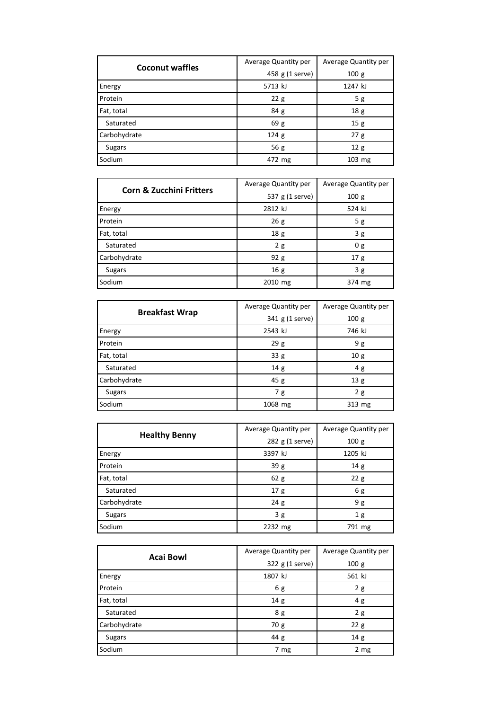| <b>Coconut waffles</b> | Average Quantity per | Average Quantity per |
|------------------------|----------------------|----------------------|
|                        | 458 g (1 serve)      | 100g                 |
| Energy                 | 5713 kJ              | 1247 kJ              |
| Protein                | 22g                  | 5g                   |
| Fat, total             | 84 <sub>g</sub>      | 18 g                 |
| Saturated              | 69 g                 | 15g                  |
| Carbohydrate           | 124 <sub>g</sub>     | 27g                  |
| Sugars                 | 56 $g$               | 12g                  |
| Sodium                 | 472 mg               | $103$ mg             |

| <b>Corn &amp; Zucchini Fritters</b> | Average Quantity per | Average Quantity per |
|-------------------------------------|----------------------|----------------------|
|                                     | 537 g (1 serve)      | 100g                 |
| Energy                              | 2812 kJ              | 524 kJ               |
| Protein                             | 26g                  | 5g                   |
| Fat, total                          | 18 <sub>g</sub>      | 3g                   |
| Saturated                           | 2g                   | 0 <sub>g</sub>       |
| Carbohydrate                        | 92 g                 | 17 <sub>g</sub>      |
| <b>Sugars</b>                       | 16 g                 | 3g                   |
| Sodium                              | 2010 mg              | 374 mg               |

| <b>Breakfast Wrap</b> | Average Quantity per | Average Quantity per |
|-----------------------|----------------------|----------------------|
|                       | 341 g (1 serve)      | 100g                 |
| Energy                | 2543 kJ              | 746 kJ               |
| Protein               | 29g                  | 9 g                  |
| Fat, total            | 33 g                 | 10 <sub>g</sub>      |
| Saturated             | 14 <sub>g</sub>      | 4g                   |
| Carbohydrate          | 45g                  | 13 g                 |
| <b>Sugars</b>         | 7g                   | 2g                   |
| Sodium                | 1068 mg              | 313 mg               |

|                      | Average Quantity per | Average Quantity per |
|----------------------|----------------------|----------------------|
| <b>Healthy Benny</b> | 282 g (1 serve)      | 100g                 |
| Energy               | 3397 kJ              | 1205 kJ              |
| Protein              | 39 g                 | 14 <sub>g</sub>      |
| Fat, total           | 62g                  | 22g                  |
| Saturated            | 17 <sub>g</sub>      | 6g                   |
| Carbohydrate         | 24g                  | 9 g                  |
| <b>Sugars</b>        | 3g                   | 1 <sub>g</sub>       |
| Sodium               | 2232 mg              | 791 mg               |

| <b>Acai Bowl</b> | Average Quantity per | Average Quantity per |
|------------------|----------------------|----------------------|
|                  | 322 g (1 serve)      | 100 g                |
| Energy           | 1807 kJ              | 561 kJ               |
| Protein          | 6g                   | 2g                   |
| Fat, total       | 14 g                 | 4g                   |
| Saturated        | 8 g                  | 2g                   |
| Carbohydrate     | 70 g                 | 22g                  |
| <b>Sugars</b>    | 44 g                 | 14g                  |
| Sodium           | 7 mg                 | 2 mg                 |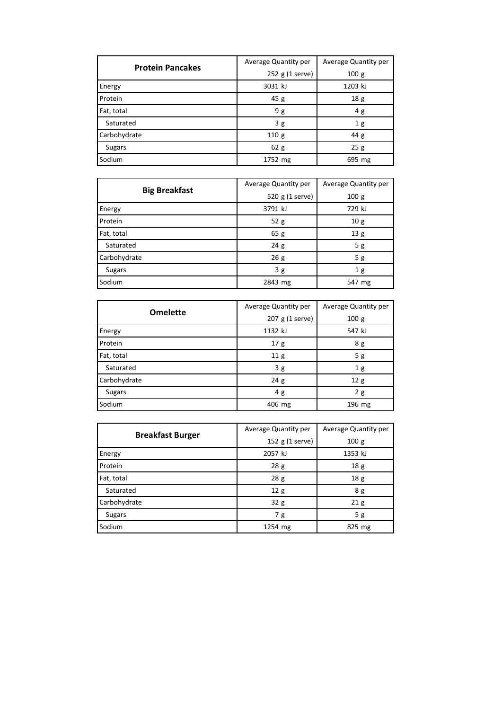| <b>Protein Pancakes</b> | Average Quantity per | Average Quantity per |
|-------------------------|----------------------|----------------------|
|                         | 252 g (1 serve)      | 100g                 |
| Energy                  | 3031 kJ              | 1203 kJ              |
| Protein                 | 45g                  | 18 <sub>g</sub>      |
| Fat, total              | 9g                   | 4g                   |
| Saturated               | 3g                   | 1 <sub>g</sub>       |
| Carbohydrate            | 110g                 | 44 g                 |
| Sugars                  | 62 g                 | 25g                  |
| Sodium                  | 1752 mg              | 695 mg               |

|                      | Average Quantity per | Average Quantity per |
|----------------------|----------------------|----------------------|
| <b>Big Breakfast</b> | 520 g (1 serve)      | 100g                 |
| Energy               | 3791 kJ              | 729 kJ               |
| Protein              | 52g                  | 10g                  |
| Fat, total           | 65g                  | 13 g                 |
| Saturated            | 24g                  | 5g                   |
| Carbohydrate         | 26g                  | 5g                   |
| <b>Sugars</b>        | 3g                   | 1 <sub>g</sub>       |
| Sodium               | 2843 mg              | 547 mg               |

| <b>Omelette</b> | Average Quantity per | Average Quantity per |
|-----------------|----------------------|----------------------|
|                 | 207 g (1 serve)      | 100 g                |
| Energy          | 1132 kJ              | 547 kJ               |
| Protein         | 17 <sub>g</sub>      | 8 g                  |
| Fat, total      | 11 <sub>g</sub>      | 5g                   |
| Saturated       | 3g                   | 1 <sub>g</sub>       |
| Carbohydrate    | 24g                  | 12g                  |
| <b>Sugars</b>   | 4 g                  | 2g                   |
| Sodium          | 406 mg               | 196 mg               |

|                         | Average Quantity per | Average Quantity per |
|-------------------------|----------------------|----------------------|
| <b>Breakfast Burger</b> | 152 g (1 serve)      | 100 <sub>g</sub>     |
| Energy                  | 2057 kJ              | 1353 kJ              |
| Protein                 | 28g                  | 18 g                 |
| Fat, total              | 28g                  | 18 <sub>g</sub>      |
| Saturated               | 12 <sub>g</sub>      | 8 g                  |
| Carbohydrate            | 32g                  | 21 <sub>g</sub>      |
| Sugars                  | 7g                   | 5g                   |
| Sodium                  | 1254 mg              | 825 mg               |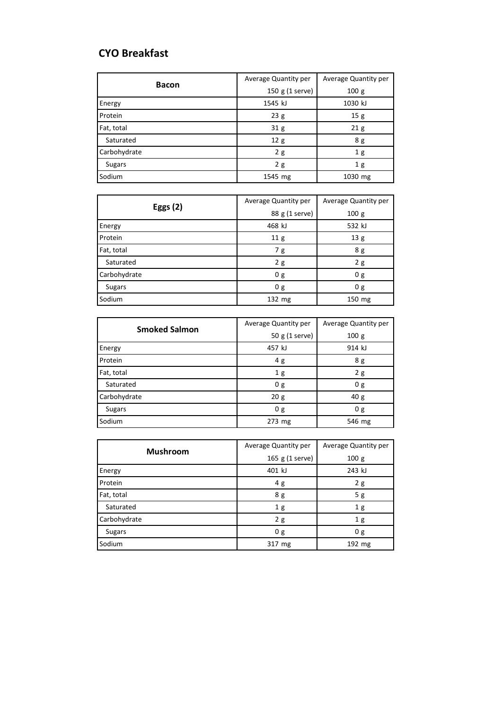#### **CYO Breakfast**

| <b>Bacon</b>  | Average Quantity per | Average Quantity per |
|---------------|----------------------|----------------------|
|               | 150 g (1 serve)      | 100g                 |
| Energy        | 1545 kJ              | 1030 kJ              |
| Protein       | 23g                  | 15g                  |
| Fat, total    | 31 <sub>g</sub>      | 21 <sub>g</sub>      |
| Saturated     | 12 <sub>g</sub>      | 8 g                  |
| Carbohydrate  | 2g                   | 1 <sub>g</sub>       |
| <b>Sugars</b> | 2g                   | 1 <sub>g</sub>       |
| Sodium        | 1545 mg              | 1030 mg              |

| <b>Eggs (2)</b> | Average Quantity per | Average Quantity per |
|-----------------|----------------------|----------------------|
|                 | 88 g (1 serve)       | 100 g                |
| Energy          | 468 kJ               | 532 kJ               |
| Protein         | 11 <sub>g</sub>      | 13 g                 |
| Fat, total      | 7g                   | 8 g                  |
| Saturated       | 2g                   | 2g                   |
| Carbohydrate    | 0 g                  | 0 <sub>g</sub>       |
| <b>Sugars</b>   | 0g                   | 0g                   |
| Sodium          | 132 mg               | 150 mg               |

| <b>Smoked Salmon</b> | Average Quantity per | Average Quantity per |
|----------------------|----------------------|----------------------|
|                      | 50 g (1 serve)       | 100 <sub>g</sub>     |
| Energy               | 457 kJ               | 914 kJ               |
| Protein              | 4 g                  | 8 g                  |
| Fat, total           | 1 <sub>g</sub>       | 2g                   |
| Saturated            | 0 <sub>g</sub>       | 0 <sub>g</sub>       |
| Carbohydrate         | 20g                  | 40 <sub>g</sub>      |
| <b>Sugars</b>        | 0g                   | 0g                   |
| Sodium               | $273$ mg             | 546 mg               |

|                 | Average Quantity per | Average Quantity per |
|-----------------|----------------------|----------------------|
| <b>Mushroom</b> | 165 g (1 serve)      | 100 g                |
| Energy          | 401 kJ               | 243 kJ               |
| Protein         | 4 g                  | 2g                   |
| Fat, total      | 8 g                  | 5g                   |
| Saturated       | 1 <sub>g</sub>       | 1 <sub>g</sub>       |
| Carbohydrate    | 2g                   | 1 <sub>g</sub>       |
| <b>Sugars</b>   | 0 <sub>g</sub>       | 0 g                  |
| Sodium          | 317 mg               | 192 mg               |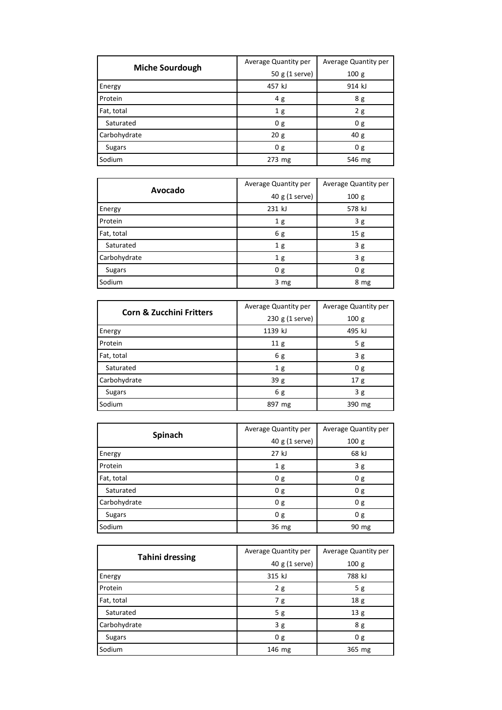| <b>Miche Sourdough</b> | Average Quantity per | Average Quantity per |
|------------------------|----------------------|----------------------|
|                        | 50 g (1 serve)       | 100g                 |
| Energy                 | 457 kJ               | 914 kJ               |
| Protein                | 4g                   | 8 g                  |
| Fat, total             | 1 <sub>g</sub>       | 2g                   |
| Saturated              | 0 <sub>g</sub>       | 0 <sub>g</sub>       |
| Carbohydrate           | 20 <sub>g</sub>      | 40 <sub>g</sub>      |
| Sugars                 | 0 g                  | 0 g                  |
| Sodium                 | 273 mg               | 546 mg               |

| Avocado       | Average Quantity per | Average Quantity per |
|---------------|----------------------|----------------------|
|               | 40 g (1 serve)       | 100 g                |
| Energy        | 231 kJ               | 578 kJ               |
| Protein       | 1 <sub>g</sub>       | 3g                   |
| Fat, total    | 6g                   | 15 g                 |
| Saturated     | 1 <sub>g</sub>       | 3g                   |
| Carbohydrate  | 1 <sub>g</sub>       | 3g                   |
| <b>Sugars</b> | 0 g                  | 0 g                  |
| Sodium        | 3 mg                 | 8 mg                 |

| <b>Corn &amp; Zucchini Fritters</b> | Average Quantity per | Average Quantity per |
|-------------------------------------|----------------------|----------------------|
|                                     | $230 g (1$ serve)    | 100g                 |
| Energy                              | 1139 kJ              | 495 kJ               |
| Protein                             | 11 <sub>g</sub>      | 5g                   |
| Fat, total                          | 6 g                  | 3g                   |
| Saturated                           | 1 <sub>g</sub>       | 0 <sub>g</sub>       |
| Carbohydrate                        | 39g                  | 17 <sub>g</sub>      |
| <b>Sugars</b>                       | 6 g                  | 3g                   |
| Sodium                              | 897 mg               | 390 mg               |

| Spinach       | Average Quantity per | Average Quantity per |
|---------------|----------------------|----------------------|
|               | 40 g (1 serve)       | 100 g                |
| Energy        | 27 kJ                | 68 kJ                |
| Protein       | 1 <sub>g</sub>       | 3g                   |
| Fat, total    | 0 <sub>g</sub>       | 0 g                  |
| Saturated     | 0 g                  | 0 g                  |
| Carbohydrate  | 0g                   | 0 g                  |
| <b>Sugars</b> | 0 <sub>g</sub>       | 0 g                  |
| Sodium        | 36 mg                | 90 mg                |

| <b>Tahini dressing</b> | Average Quantity per | Average Quantity per |
|------------------------|----------------------|----------------------|
|                        | 40 g (1 serve)       | 100g                 |
| Energy                 | 315 kJ               | 788 kJ               |
| Protein                | 2g                   | 5g                   |
| Fat, total             | 7 g                  | 18 g                 |
| Saturated              | 5 g                  | 13 g                 |
| Carbohydrate           | 3g                   | 8 g                  |
| <b>Sugars</b>          | 0 <sub>g</sub>       | 0 <sub>g</sub>       |
| Sodium                 | 146 mg               | 365 mg               |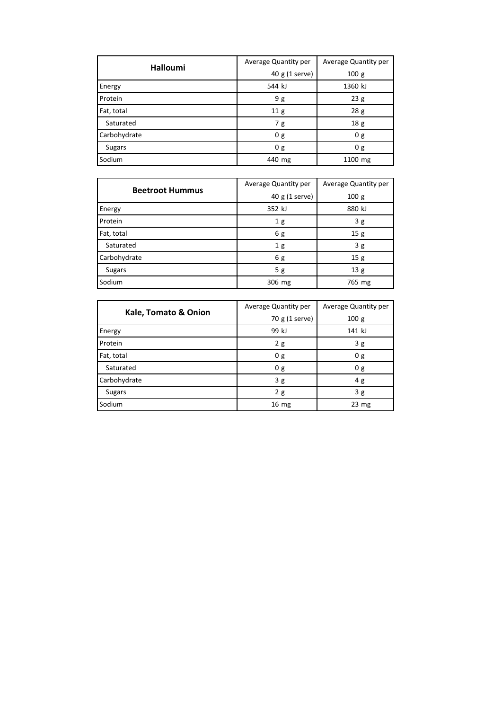| <b>Halloumi</b> | Average Quantity per | Average Quantity per |
|-----------------|----------------------|----------------------|
|                 | 40 g (1 serve)       | 100 <sub>g</sub>     |
| Energy          | 544 kJ               | 1360 kJ              |
| Protein         | 9 g                  | 23g                  |
| Fat, total      | 11 <sub>g</sub>      | 28 g                 |
| Saturated       | 7g                   | 18 <sub>g</sub>      |
| Carbohydrate    | 0g                   | 0 <sub>g</sub>       |
| <b>Sugars</b>   | 0g                   | 0 g                  |
| Sodium          | 440 mg               | 1100 mg              |

| <b>Beetroot Hummus</b> | Average Quantity per | Average Quantity per |
|------------------------|----------------------|----------------------|
|                        | 40 g (1 serve)       | 100g                 |
| Energy                 | 352 kJ               | 880 kJ               |
| Protein                | 1 <sub>g</sub>       | 3g                   |
| Fat, total             | 6g                   | 15g                  |
| Saturated              | 1 <sub>g</sub>       | 3g                   |
| Carbohydrate           | 6 g                  | 15g                  |
| <b>Sugars</b>          | 5 g                  | 13g                  |
| Sodium                 | 306 mg               | 765 mg               |

| Kale, Tomato & Onion | Average Quantity per | Average Quantity per |
|----------------------|----------------------|----------------------|
|                      | 70 g (1 serve)       | 100g                 |
| Energy               | 99 kJ                | 141 kJ               |
| Protein              | 2g                   | 3g                   |
| Fat, total           | 0 g                  | 0 g                  |
| Saturated            | 0 <sub>g</sub>       | 0 <sub>g</sub>       |
| Carbohydrate         | 3g                   | 4 g                  |
| <b>Sugars</b>        | 2g                   | 3g                   |
| Sodium               | 16 <sub>mg</sub>     | $23 \text{ mg}$      |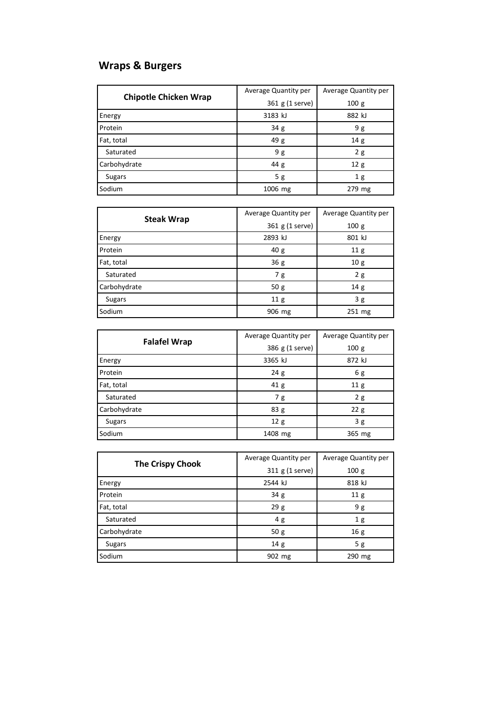# **Wraps & Burgers**

| <b>Chipotle Chicken Wrap</b> | Average Quantity per | Average Quantity per |
|------------------------------|----------------------|----------------------|
|                              | 361 g (1 serve)      | 100g                 |
| Energy                       | 3183 kJ              | 882 kJ               |
| Protein                      | 34 <sub>g</sub>      | 9 g                  |
| Fat, total                   | 49 g                 | 14g                  |
| Saturated                    | 9g                   | 2g                   |
| Carbohydrate                 | 44 g                 | 12g                  |
| Sugars                       | 5g                   | 1g                   |
| Sodium                       | 1006 mg              | 279 mg               |

| <b>Steak Wrap</b> | Average Quantity per | Average Quantity per |
|-------------------|----------------------|----------------------|
|                   | 361 g (1 serve)      | 100 g                |
| Energy            | 2893 kJ              | 801 kJ               |
| Protein           | 40 <sub>g</sub>      | 11 <sub>g</sub>      |
| Fat, total        | 36g                  | 10 <sub>g</sub>      |
| Saturated         | 7 g                  | 2g                   |
| Carbohydrate      | 50g                  | 14g                  |
| <b>Sugars</b>     | 11 <sub>g</sub>      | 3g                   |
| Sodium            | 906 mg               | 251 mg               |

|                     | Average Quantity per | Average Quantity per |
|---------------------|----------------------|----------------------|
| <b>Falafel Wrap</b> | 386 g (1 serve)      | 100g                 |
| Energy              | 3365 kJ              | 872 kJ               |
| Protein             | 24g                  | 6 g                  |
| Fat, total          | 41 <sub>g</sub>      | 11 <sub>g</sub>      |
| Saturated           | 7 g                  | 2g                   |
| Carbohydrate        | 83 g                 | 22g                  |
| <b>Sugars</b>       | 12 <sub>g</sub>      | 3g                   |
| Sodium              | 1408 mg              | 365 mg               |

|                         | Average Quantity per | Average Quantity per |
|-------------------------|----------------------|----------------------|
| <b>The Crispy Chook</b> | 311 g (1 serve)      | 100g                 |
| Energy                  | 2544 kJ              | 818 kJ               |
| Protein                 | 34 g                 | 11 g                 |
| Fat, total              | 29g                  | 9 g                  |
| Saturated               | 4g                   | 1 <sub>g</sub>       |
| Carbohydrate            | 50g                  | 16 <sub>g</sub>      |
| <b>Sugars</b>           | 14 <sub>g</sub>      | 5g                   |
| Sodium                  | 902 mg               | 290 mg               |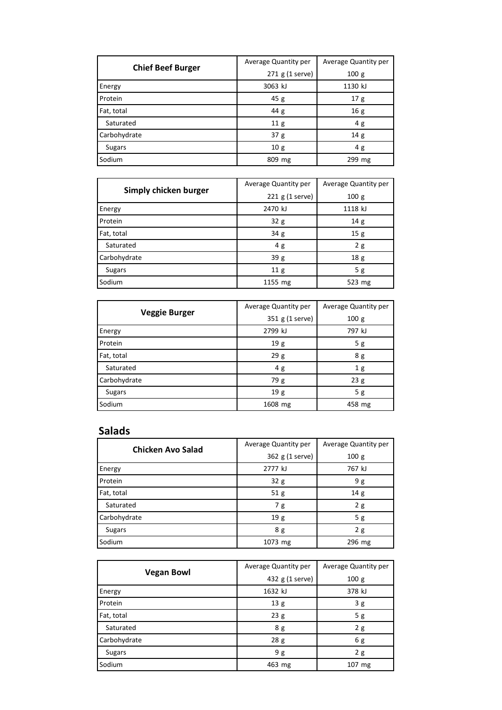| <b>Chief Beef Burger</b> | Average Quantity per | Average Quantity per |
|--------------------------|----------------------|----------------------|
|                          | 271 g (1 serve)      | 100g                 |
| Energy                   | 3063 kJ              | 1130 kJ              |
| Protein                  | 45 g                 | 17 <sub>g</sub>      |
| Fat, total               | 44 g                 | 16 <sub>g</sub>      |
| Saturated                | 11 <sub>g</sub>      | 4g                   |
| Carbohydrate             | 37 <sub>g</sub>      | 14g                  |
| Sugars                   | 10g                  | 4 g                  |
| Sodium                   | 809 mg               | 299 mg               |

| Simply chicken burger | Average Quantity per | Average Quantity per |
|-----------------------|----------------------|----------------------|
|                       | $221$ g (1 serve)    | 100 g                |
| Energy                | 2470 kJ              | 1118 kJ              |
| Protein               | 32g                  | 14g                  |
| Fat, total            | 34 <sub>g</sub>      | 15g                  |
| Saturated             | 4g                   | 2g                   |
| Carbohydrate          | 39g                  | 18 <sub>g</sub>      |
| <b>Sugars</b>         | 11 <sub>g</sub>      | 5g                   |
| Sodium                | 1155 mg              | 523 mg               |

| <b>Veggie Burger</b> | Average Quantity per | Average Quantity per |
|----------------------|----------------------|----------------------|
|                      | 351 g (1 serve)      | 100 g                |
| Energy               | 2799 kJ              | 797 kJ               |
| Protein              | 19 <sub>g</sub>      | 5g                   |
| Fat, total           | 29g                  | 8 g                  |
| Saturated            | 4g                   | 1 <sub>g</sub>       |
| Carbohydrate         | 79 g                 | 23g                  |
| <b>Sugars</b>        | 19 g                 | 5g                   |
| Sodium               | 1608 mg              | 458 mg               |

### **Salads**

| <b>Chicken Avo Salad</b> | Average Quantity per | Average Quantity per |
|--------------------------|----------------------|----------------------|
|                          | 362 g (1 serve)      | 100g                 |
| Energy                   | 2777 kJ              | 767 kJ               |
| Protein                  | 32g                  | 9 g                  |
| Fat, total               | 51 <sub>g</sub>      | 14g                  |
| Saturated                | 7g                   | 2g                   |
| Carbohydrate             | 19 g                 | 5g                   |
| <b>Sugars</b>            | 8g                   | 2g                   |
| Sodium                   | 1073 mg              | 296 mg               |

| <b>Vegan Bowl</b> | Average Quantity per | Average Quantity per |
|-------------------|----------------------|----------------------|
|                   | 432 g (1 serve)      | 100g                 |
| Energy            | 1632 kJ              | 378 kJ               |
| Protein           | 13 <sub>g</sub>      | 3g                   |
| Fat, total        | 23g                  | 5g                   |
| Saturated         | 8 g                  | 2g                   |
| Carbohydrate      | 28 g                 | 6g                   |
| <b>Sugars</b>     | 9g                   | 2g                   |
| Sodium            | 463 mg               | 107 mg               |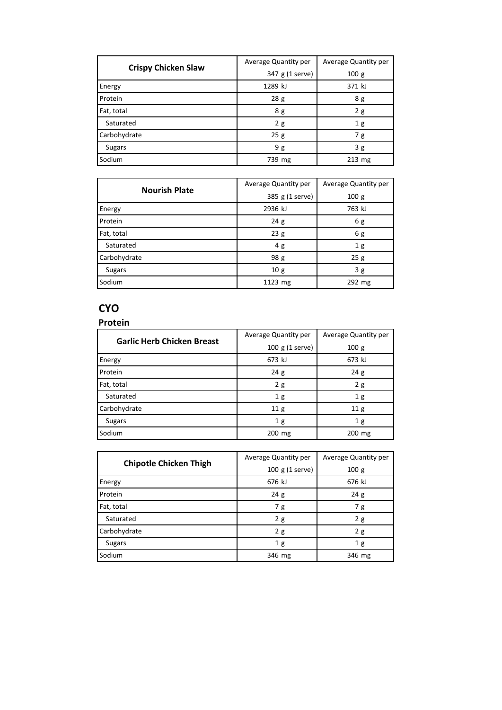|                            | Average Quantity per | Average Quantity per |
|----------------------------|----------------------|----------------------|
| <b>Crispy Chicken Slaw</b> | 347 g (1 serve)      | 100g                 |
| Energy                     | 1289 kJ              | 371 kJ               |
| Protein                    | 28g                  | 8 g                  |
| Fat, total                 | 8g                   | 2g                   |
| Saturated                  | 2g                   | 1 <sub>g</sub>       |
| Carbohydrate               | 25g                  | 7g                   |
| Sugars                     | 9 g                  | 3g                   |
| Sodium                     | 739 mg               | $213$ mg             |

| <b>Nourish Plate</b> | Average Quantity per | Average Quantity per |
|----------------------|----------------------|----------------------|
|                      | 385 g (1 serve)      | 100 g                |
| Energy               | 2936 kJ              | 763 kJ               |
| Protein              | 24g                  | 6g                   |
| Fat, total           | 23g                  | 6 g                  |
| Saturated            | 4g                   | 1 <sub>g</sub>       |
| Carbohydrate         | 98 <sub>g</sub>      | 25g                  |
| <b>Sugars</b>        | 10g                  | 3g                   |
| Sodium               | 1123 mg              | 292 mg               |

### **CYO**

| Protein |  |  |  |  |
|---------|--|--|--|--|
|         |  |  |  |  |

| <b>Garlic Herb Chicken Breast</b> | Average Quantity per | Average Quantity per |  |
|-----------------------------------|----------------------|----------------------|--|
|                                   | 100 g (1 serve)      | 100 <sub>g</sub>     |  |
| Energy                            | 673 kJ               | 673 kJ               |  |
| Protein                           | 24g                  | 24g                  |  |
| Fat, total                        | 2g                   | 2g                   |  |
| Saturated                         | 1 <sub>g</sub>       | 1 <sub>g</sub>       |  |
| Carbohydrate                      | 11 <sub>g</sub>      | 11 <sub>g</sub>      |  |
| <b>Sugars</b>                     | 1 <sub>g</sub>       | 1 <sub>g</sub>       |  |
| Sodium                            | 200 mg               | 200 mg               |  |

|                               | Average Quantity per | Average Quantity per |  |
|-------------------------------|----------------------|----------------------|--|
| <b>Chipotle Chicken Thigh</b> | 100 g (1 serve)      | 100g                 |  |
| Energy                        | 676 kJ               | 676 kJ               |  |
| Protein                       | 24g                  | 24g                  |  |
| Fat, total                    | 7 g                  | 7 g                  |  |
| Saturated                     | 2g                   | 2g                   |  |
| Carbohydrate                  | 2g                   | 2g                   |  |
| Sugars                        | 1 <sub>g</sub>       | 1 <sub>g</sub>       |  |
| Sodium                        | 346 mg               | 346 mg               |  |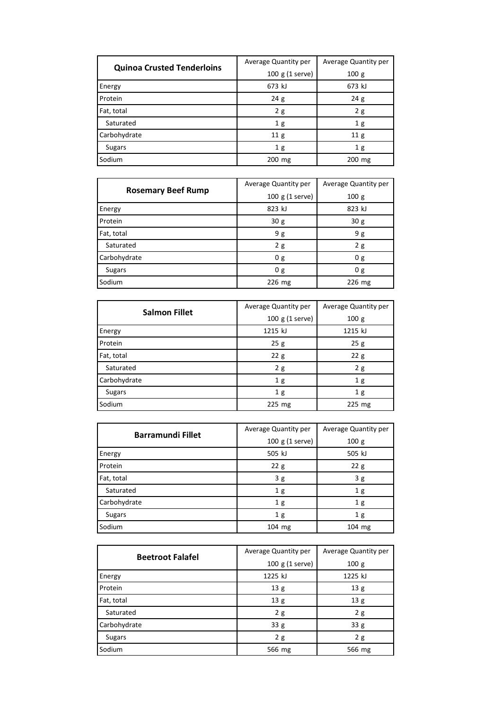| <b>Quinoa Crusted Tenderloins</b> | Average Quantity per | Average Quantity per |  |
|-----------------------------------|----------------------|----------------------|--|
|                                   | 100 g (1 serve)      | 100g                 |  |
| Energy                            | 673 kJ               | 673 kJ               |  |
| Protein                           | 24g                  | 24g                  |  |
| Fat, total                        | 2g                   | 2g                   |  |
| Saturated                         | 1 <sub>g</sub>       | 1 <sub>g</sub>       |  |
| Carbohydrate                      | 11 <sub>g</sub>      | 11 <sub>g</sub>      |  |
| Sugars                            | 1 <sub>g</sub>       | 1 <sub>g</sub>       |  |
| Sodium                            | 200 mg               | 200 mg               |  |

| <b>Rosemary Beef Rump</b> | Average Quantity per | Average Quantity per |  |
|---------------------------|----------------------|----------------------|--|
|                           | 100 g (1 serve)      | 100 <sub>g</sub>     |  |
| Energy                    | 823 kJ               | 823 kJ               |  |
| Protein                   | 30 <sub>g</sub>      | 30 <sub>g</sub>      |  |
| Fat, total                | 9g                   | 9 g                  |  |
| Saturated                 | 2g                   | 2g                   |  |
| Carbohydrate              | 0 <sub>g</sub>       | 0 g                  |  |
| <b>Sugars</b>             | 0g                   | 0g                   |  |
| Sodium                    | 226 mg               | 226 mg               |  |

| <b>Salmon Fillet</b> | Average Quantity per | Average Quantity per |  |
|----------------------|----------------------|----------------------|--|
|                      | 100 g (1 serve)      | 100g                 |  |
| Energy               | 1215 kJ              | 1215 kJ              |  |
| Protein              | 25g                  | 25g                  |  |
| Fat, total           | 22g                  | 22g                  |  |
| Saturated            | 2g                   | 2g                   |  |
| Carbohydrate         | 1 <sub>g</sub>       | 1 <sub>g</sub>       |  |
| <b>Sugars</b>        | 1 <sub>g</sub>       | 1 <sub>g</sub>       |  |
| Sodium               | $225$ mg             | $225$ mg             |  |

| <b>Barramundi Fillet</b> | Average Quantity per | Average Quantity per |  |
|--------------------------|----------------------|----------------------|--|
|                          | 100 g (1 serve)      | 100g                 |  |
| Energy                   | 505 kJ               | 505 kJ               |  |
| Protein                  | 22g                  | 22g                  |  |
| Fat, total               | 3g                   | 3g                   |  |
| Saturated                | 1 <sub>g</sub>       | 1 <sub>g</sub>       |  |
| Carbohydrate             | 1 <sub>g</sub>       | 1 <sub>g</sub>       |  |
| <b>Sugars</b>            | 1 <sub>g</sub>       | 1 <sub>g</sub>       |  |
| Sodium                   | 104 mg               | 104 mg               |  |

| <b>Beetroot Falafel</b> | Average Quantity per | Average Quantity per |  |
|-------------------------|----------------------|----------------------|--|
|                         | $100 g (1$ serve)    | 100g                 |  |
| Energy                  | 1225 kJ              | 1225 kJ              |  |
| Protein                 | 13 <sub>g</sub>      | 13 <sub>g</sub>      |  |
| Fat, total              | 13 g                 | 13 <sub>g</sub>      |  |
| Saturated               | 2g                   | 2g                   |  |
| Carbohydrate            | 33 g                 | 33 g                 |  |
| <b>Sugars</b>           | 2g                   | 2g                   |  |
| Sodium                  | 566 mg               | 566 mg               |  |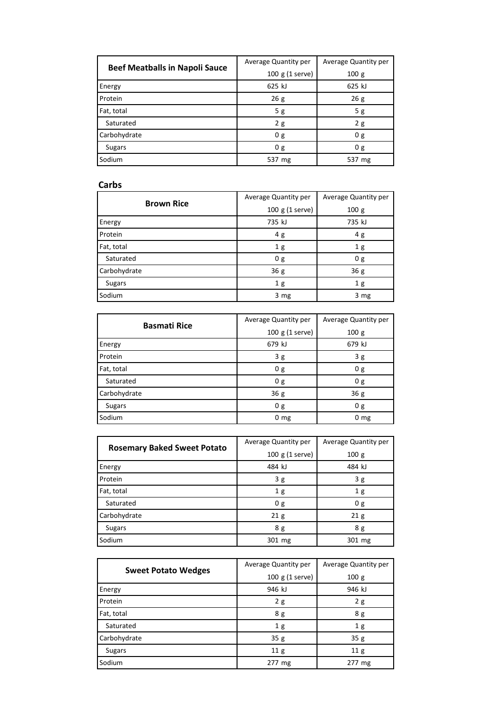| <b>Beef Meatballs in Napoli Sauce</b> | Average Quantity per | Average Quantity per |  |
|---------------------------------------|----------------------|----------------------|--|
|                                       | $100 g (1$ serve)    | 100g                 |  |
| Energy                                | 625 kJ               | 625 kJ               |  |
| Protein                               | 26g                  | 26g                  |  |
| Fat, total                            | 5g                   | 5g                   |  |
| Saturated                             | 2g                   | 2g                   |  |
| Carbohydrate                          | 0 g                  | 0 g                  |  |
| <b>Sugars</b>                         | 0 <sub>g</sub>       | 0 <sub>g</sub>       |  |
| Sodium                                | 537 mg               | 537 mg               |  |

#### **Carbs**

| <b>Brown Rice</b> | Average Quantity per | Average Quantity per |  |
|-------------------|----------------------|----------------------|--|
|                   | 100 g (1 serve)      | 100 <sub>g</sub>     |  |
| Energy            | 735 kJ               | 735 kJ               |  |
| Protein           | 4 g                  | 4g                   |  |
| Fat, total        | 1 <sub>g</sub>       | 1 <sub>g</sub>       |  |
| Saturated         | 0g                   | 0 <sub>g</sub>       |  |
| Carbohydrate      | 36g                  | 36 <sub>g</sub>      |  |
| <b>Sugars</b>     | 1 <sub>g</sub>       | 1 <sub>g</sub>       |  |
| Sodium            | 3 mg                 | 3 mg                 |  |

| <b>Basmati Rice</b> | Average Quantity per | Average Quantity per |  |
|---------------------|----------------------|----------------------|--|
|                     | 100 g (1 serve)      | 100 g                |  |
| Energy              | 679 kJ               | 679 kJ               |  |
| Protein             | 3g                   | 3g                   |  |
| Fat, total          | 0g                   | 0 <sub>g</sub>       |  |
| Saturated           | 0 <sub>g</sub>       | 0 <sub>g</sub>       |  |
| Carbohydrate        | 36g                  | 36 <sub>g</sub>      |  |
| <b>Sugars</b>       | 0g                   | 0 <sub>g</sub>       |  |
| Sodium              | $0 \text{ mg}$       | $0 \, mg$            |  |

| <b>Rosemary Baked Sweet Potato</b> | Average Quantity per | Average Quantity per |  |
|------------------------------------|----------------------|----------------------|--|
|                                    | 100 g (1 serve)      | 100g                 |  |
| Energy                             | 484 kJ               | 484 kJ               |  |
| Protein                            | 3g                   | 3g                   |  |
| Fat, total                         | 1 <sub>g</sub>       | 1 <sub>g</sub>       |  |
| Saturated                          | 0 <sub>g</sub>       | 0 g                  |  |
| Carbohydrate                       | 21 <sub>g</sub>      | 21 <sub>g</sub>      |  |
| <b>Sugars</b>                      | 8 g                  | 8 <sub>g</sub>       |  |
| Sodium                             | 301 mg               | 301 mg               |  |

|                            | Average Quantity per | Average Quantity per |
|----------------------------|----------------------|----------------------|
| <b>Sweet Potato Wedges</b> | $100 g (1$ serve)    | 100g                 |
| Energy                     | 946 kJ               | 946 kJ               |
| Protein                    | 2g                   | 2g                   |
| Fat, total                 | 8 g                  | 8 g                  |
| Saturated                  | 1 <sub>g</sub>       | 1 <sub>g</sub>       |
| Carbohydrate               | 35g                  | 35g                  |
| Sugars                     | 11 <sub>g</sub>      | 11 <sub>g</sub>      |
| Sodium                     | 277 mg               | 277 mg               |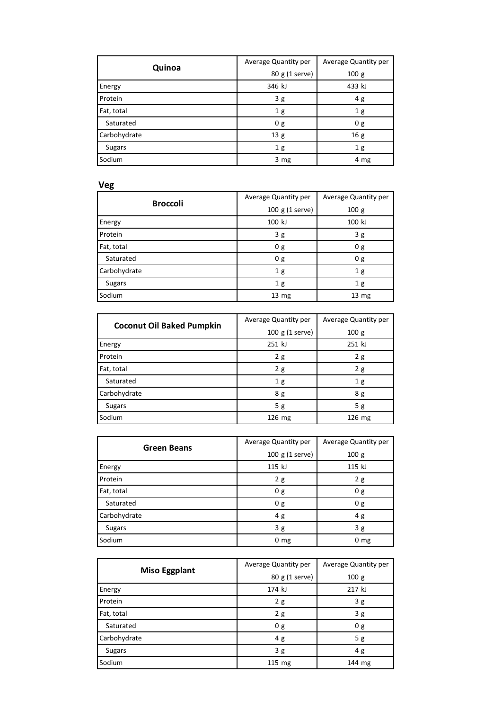| Quinoa        | Average Quantity per | Average Quantity per |
|---------------|----------------------|----------------------|
|               | 80 g (1 serve)       | 100 g                |
| Energy        | 346 kJ               | 433 kJ               |
| Protein       | 3g                   | 4g                   |
| Fat, total    | 1 <sub>g</sub>       | 1 <sub>g</sub>       |
| Saturated     | 0 <sub>g</sub>       | 0 <sub>g</sub>       |
| Carbohydrate  | 13 g                 | 16 g                 |
| <b>Sugars</b> | 1 <sub>g</sub>       | 1 <sub>g</sub>       |
| Sodium        | 3 mg                 | 4 mg                 |

# **Veg**

| <b>Broccoli</b> | Average Quantity per | Average Quantity per |
|-----------------|----------------------|----------------------|
|                 | 100 g (1 serve)      | 100 <sub>g</sub>     |
| Energy          | 100 kJ               | 100 kJ               |
| Protein         | 3g                   | 3g                   |
| Fat, total      | 0 <sub>g</sub>       | 0 <sub>g</sub>       |
| Saturated       | 0g                   | 0 g                  |
| Carbohydrate    | 1 <sub>g</sub>       | 1 <sub>g</sub>       |
| <b>Sugars</b>   | 1 <sub>g</sub>       | 1 <sub>g</sub>       |
| Sodium          | 13 <sub>mg</sub>     | 13 <sub>mg</sub>     |

| <b>Coconut Oil Baked Pumpkin</b> | Average Quantity per | Average Quantity per |
|----------------------------------|----------------------|----------------------|
|                                  | 100 g (1 serve)      | 100g                 |
| Energy                           | 251 kJ               | 251 kJ               |
| Protein                          | 2g                   | 2g                   |
| Fat, total                       | 2g                   | 2g                   |
| Saturated                        | 1 <sub>g</sub>       | 1 <sub>g</sub>       |
| Carbohydrate                     | 8 <sub>g</sub>       | 8 g                  |
| <b>Sugars</b>                    | 5g                   | 5g                   |
| Sodium                           | 126 mg               | 126 mg               |

| <b>Green Beans</b> | Average Quantity per | Average Quantity per |
|--------------------|----------------------|----------------------|
|                    | 100 g (1 serve)      | 100 g                |
| Energy             | 115 kJ               | 115 kJ               |
| Protein            | 2g                   | 2g                   |
| Fat, total         | 0 g                  | 0 g                  |
| Saturated          | 0 <sub>g</sub>       | 0 g                  |
| Carbohydrate       | 4 g                  | 4g                   |
| <b>Sugars</b>      | 3g                   | 3g                   |
| Sodium             | $0 \text{ mg}$       | 0 <sub>mg</sub>      |

| <b>Miso Eggplant</b> | Average Quantity per | Average Quantity per |
|----------------------|----------------------|----------------------|
|                      | 80 g (1 serve)       | 100g                 |
| Energy               | 174 kJ               | 217 kJ               |
| Protein              | 2g                   | 3g                   |
| Fat, total           | 2g                   | 3g                   |
| Saturated            | 0 <sub>g</sub>       | 0 g                  |
| Carbohydrate         | 4g                   | 5g                   |
| <b>Sugars</b>        | 3g                   | 4g                   |
| Sodium               | $115$ mg             | 144 mg               |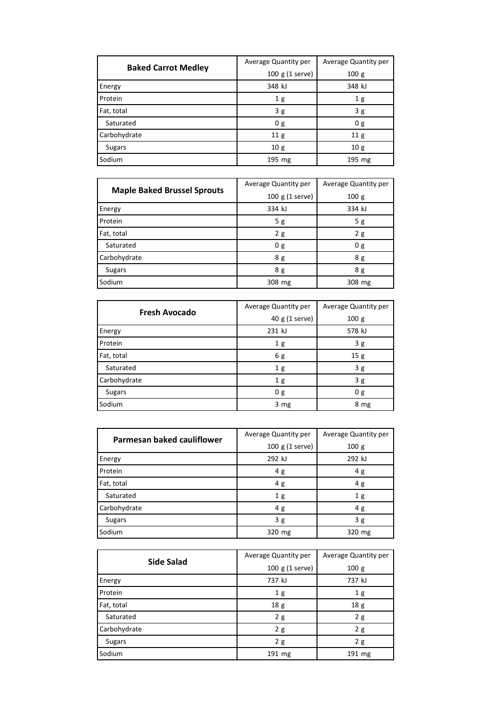| <b>Baked Carrot Medley</b> | Average Quantity per | Average Quantity per |
|----------------------------|----------------------|----------------------|
|                            | $100 g (1$ serve)    | 100 <sub>g</sub>     |
| Energy                     | 348 kJ               | 348 kJ               |
| Protein                    | 1 <sub>g</sub>       | 1 <sub>g</sub>       |
| Fat, total                 | 3g                   | 3g                   |
| Saturated                  | 0 <sub>g</sub>       | 0 <sub>g</sub>       |
| Carbohydrate               | 11 <sub>g</sub>      | 11 <sub>g</sub>      |
| Sugars                     | 10g                  | 10g                  |
| Sodium                     | 195 mg               | 195 mg               |

| <b>Maple Baked Brussel Sprouts</b> | Average Quantity per | Average Quantity per |
|------------------------------------|----------------------|----------------------|
|                                    | 100 g (1 serve)      | 100 g                |
| Energy                             | 334 kJ               | 334 kJ               |
| Protein                            | 5g                   | 5g                   |
| Fat, total                         | 2g                   | 2g                   |
| Saturated                          | 0 <sub>g</sub>       | 0 g                  |
| Carbohydrate                       | 8g                   | 8 g                  |
| <b>Sugars</b>                      | 8 g                  | 8 g                  |
| Sodium                             | 308 mg               | 308 mg               |

| <b>Fresh Avocado</b> | Average Quantity per | Average Quantity per |
|----------------------|----------------------|----------------------|
|                      | 40 g (1 serve)       | 100 <sub>g</sub>     |
| Energy               | 231 kJ               | 578 kJ               |
| Protein              | 1 <sub>g</sub>       | 3g                   |
| Fat, total           | 6g                   | 15g                  |
| Saturated            | 1 <sub>g</sub>       | 3g                   |
| Carbohydrate         | 1 <sub>g</sub>       | 3g                   |
| <b>Sugars</b>        | 0 <sub>g</sub>       | 0 g                  |
| Sodium               | $3 \, mg$            | 8 mg                 |

| Parmesan baked cauliflower | Average Quantity per | Average Quantity per |
|----------------------------|----------------------|----------------------|
|                            | 100 g (1 serve)      | 100 <sub>g</sub>     |
| Energy                     | 292 kJ               | 292 kJ               |
| Protein                    | 4g                   | 4g                   |
| Fat, total                 | 4g                   | 4g                   |
| Saturated                  | 1 <sub>g</sub>       | 1 <sub>g</sub>       |
| Carbohydrate               | 4g                   | 4g                   |
| <b>Sugars</b>              | 3g                   | 3g                   |
| Sodium                     | 320 mg               | 320 mg               |

| <b>Side Salad</b> | Average Quantity per | Average Quantity per |
|-------------------|----------------------|----------------------|
|                   | $100 g (1$ serve)    | 100g                 |
| Energy            | 737 kJ               | 737 kJ               |
| Protein           | 1 <sub>g</sub>       | 1 <sub>g</sub>       |
| Fat, total        | 18 g                 | 18 <sub>g</sub>      |
| Saturated         | 2g                   | 2g                   |
| Carbohydrate      | 2g                   | 2g                   |
| <b>Sugars</b>     | 2g                   | 2g                   |
| Sodium            | 191 mg               | 191 mg               |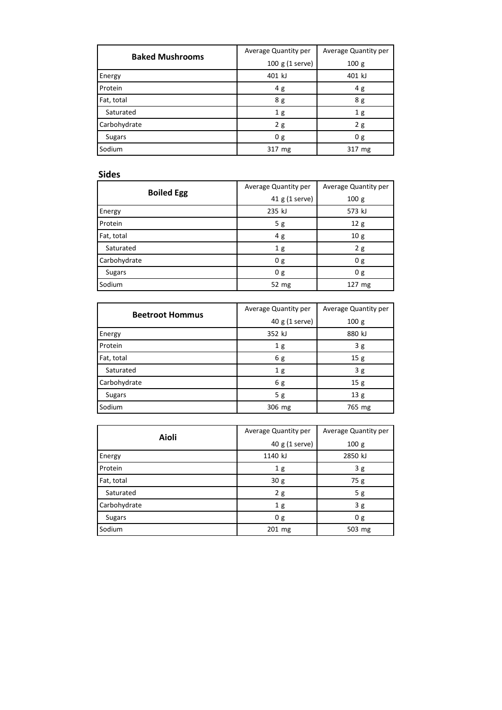| <b>Baked Mushrooms</b> | Average Quantity per | Average Quantity per |
|------------------------|----------------------|----------------------|
|                        | $100 g (1$ serve)    | 100 <sub>g</sub>     |
| Energy                 | 401 kJ               | 401 kJ               |
| Protein                | 4 g                  | 4g                   |
| Fat, total             | 8 g                  | 8 g                  |
| Saturated              | 1 <sub>g</sub>       | 1 <sub>g</sub>       |
| Carbohydrate           | 2g                   | 2g                   |
| <b>Sugars</b>          | 0 <sub>g</sub>       | 0 <sub>g</sub>       |
| Sodium                 | 317 mg               | 317 mg               |

#### **Sides**

| <b>Boiled Egg</b> | Average Quantity per | Average Quantity per |
|-------------------|----------------------|----------------------|
|                   | 41 g (1 serve)       | 100 g                |
| Energy            | 235 kJ               | 573 kJ               |
| Protein           | 5g                   | 12g                  |
| Fat, total        | 4g                   | 10 <sub>g</sub>      |
| Saturated         | 1 <sub>g</sub>       | 2g                   |
| Carbohydrate      | 0 g                  | 0 <sub>g</sub>       |
| <b>Sugars</b>     | 0g                   | 0g                   |
| Sodium            | 52 mg                | $127 \text{ mg}$     |

| <b>Beetroot Hommus</b> | Average Quantity per | Average Quantity per |
|------------------------|----------------------|----------------------|
|                        | 40 g (1 serve)       | 100 <sub>g</sub>     |
| Energy                 | 352 kJ               | 880 kJ               |
| Protein                | 1 <sub>g</sub>       | 3g                   |
| Fat, total             | 6g                   | 15g                  |
| Saturated              | 1 <sub>g</sub>       | 3g                   |
| Carbohydrate           | 6 g                  | 15g                  |
| <b>Sugars</b>          | 5g                   | 13 g                 |
| Sodium                 | 306 mg               | 765 mg               |

| Aioli         | Average Quantity per | Average Quantity per |
|---------------|----------------------|----------------------|
|               | 40 g (1 serve)       | 100 g                |
| Energy        | 1140 kJ              | 2850 kJ              |
| Protein       | 1 <sub>g</sub>       | 3g                   |
| Fat, total    | 30 <sub>g</sub>      | 75g                  |
| Saturated     | 2g                   | 5g                   |
| Carbohydrate  | 1 <sub>g</sub>       | 3g                   |
| <b>Sugars</b> | 0g                   | 0 g                  |
| Sodium        | 201 mg               | 503 mg               |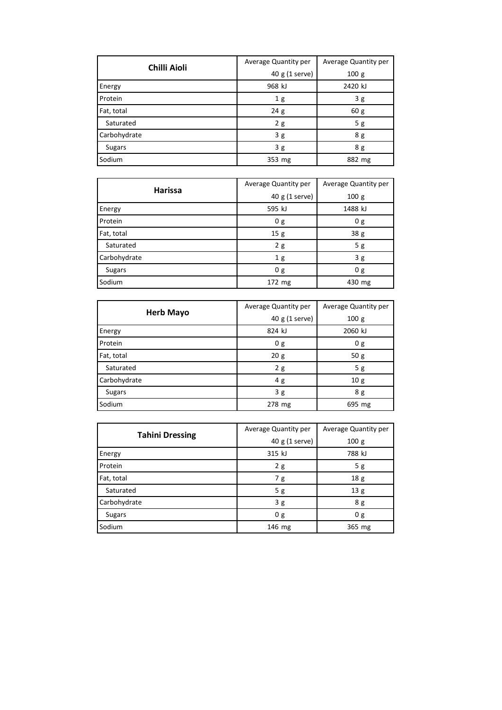| <b>Chilli Aioli</b> | Average Quantity per | Average Quantity per |
|---------------------|----------------------|----------------------|
|                     | 40 g (1 serve)       | 100g                 |
| Energy              | 968 kJ               | 2420 kJ              |
| Protein             | 1 <sub>g</sub>       | 3g                   |
| Fat, total          | 24g                  | 60 g                 |
| Saturated           | 2g                   | 5g                   |
| Carbohydrate        | 3g                   | 8 g                  |
| <b>Sugars</b>       | 3g                   | 8 g                  |
| Sodium              | 353 mg               | 882 mg               |

| <b>Harissa</b> | Average Quantity per | Average Quantity per |
|----------------|----------------------|----------------------|
|                | 40 g (1 serve)       | 100 g                |
| Energy         | 595 kJ               | 1488 kJ              |
| Protein        | 0 g                  | 0 g                  |
| Fat, total     | 15g                  | 38 g                 |
| Saturated      | 2g                   | 5g                   |
| Carbohydrate   | 1 <sub>g</sub>       | 3g                   |
| <b>Sugars</b>  | 0 g                  | 0g                   |
| Sodium         | 172 mg               | 430 mg               |

| <b>Herb Mayo</b> | Average Quantity per | Average Quantity per |
|------------------|----------------------|----------------------|
|                  | 40 g (1 serve)       | 100 g                |
| Energy           | 824 kJ               | 2060 kJ              |
| Protein          | 0 <sub>g</sub>       | 0 g                  |
| Fat, total       | 20 <sub>g</sub>      | 50 g                 |
| Saturated        | 2g                   | 5g                   |
| Carbohydrate     | 4g                   | 10 <sub>g</sub>      |
| <b>Sugars</b>    | 3g                   | 8 g                  |
| Sodium           | 278 mg               | 695 mg               |

| <b>Tahini Dressing</b> | Average Quantity per | Average Quantity per |
|------------------------|----------------------|----------------------|
|                        | 40 g (1 serve)       | 100 <sub>g</sub>     |
| Energy                 | 315 kJ               | 788 kJ               |
| Protein                | 2g                   | 5g                   |
| Fat, total             | 7g                   | 18 <sub>g</sub>      |
| Saturated              | 5 g                  | 13 <sub>g</sub>      |
| Carbohydrate           | 3g                   | 8 g                  |
| <b>Sugars</b>          | 0 <sub>g</sub>       | 0 g                  |
| Sodium                 | 146 mg               | 365 mg               |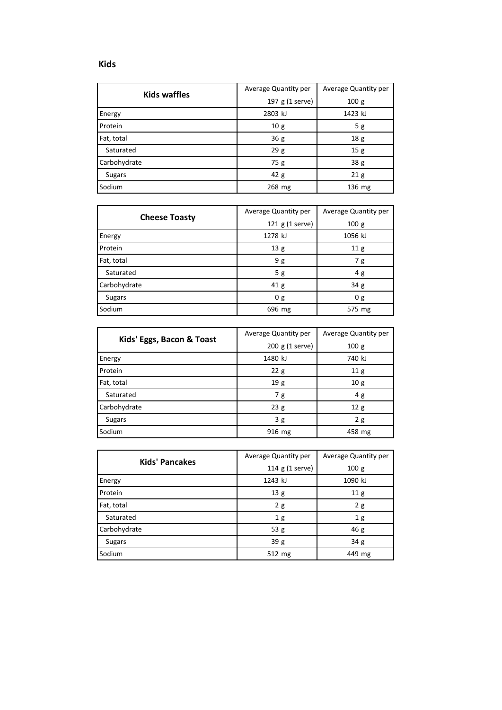| <b>Kids waffles</b> | Average Quantity per | Average Quantity per |
|---------------------|----------------------|----------------------|
|                     | 197 g (1 serve)      | 100g                 |
| Energy              | 2803 kJ              | 1423 kJ              |
| Protein             | 10g                  | 5g                   |
| Fat, total          | 36g                  | 18 <sub>g</sub>      |
| Saturated           | 29g                  | 15g                  |
| Carbohydrate        | 75g                  | 38 g                 |
| <b>Sugars</b>       | 42g                  | 21 <sub>g</sub>      |
| Sodium              | 268 mg               | 136 mg               |

| <b>Cheese Toasty</b> | Average Quantity per | Average Quantity per |
|----------------------|----------------------|----------------------|
|                      | 121 g (1 serve)      | 100 <sub>g</sub>     |
| Energy               | 1278 kJ              | 1056 kJ              |
| Protein              | 13 <sub>g</sub>      | 11 <sub>g</sub>      |
| Fat, total           | 9 g                  | 7 g                  |
| Saturated            | 5 g                  | 4g                   |
| Carbohydrate         | 41 <sub>g</sub>      | 34 g                 |
| <b>Sugars</b>        | 0 <sub>g</sub>       | 0 g                  |
| Sodium               | 696 mg               | 575 mg               |

|                           | Average Quantity per | Average Quantity per |
|---------------------------|----------------------|----------------------|
| Kids' Eggs, Bacon & Toast | 200 g (1 serve)      | 100g                 |
| Energy                    | 1480 kJ              | 740 kJ               |
| Protein                   | 22g                  | 11 <sub>g</sub>      |
| Fat, total                | 19 g                 | 10 <sub>g</sub>      |
| Saturated                 | 7 g                  | 4 g                  |
| Carbohydrate              | 23g                  | 12g                  |
| Sugars                    | 3g                   | 2g                   |
| Sodium                    | 916 mg               | 458 mg               |

| <b>Kids' Pancakes</b> | Average Quantity per | Average Quantity per |
|-----------------------|----------------------|----------------------|
|                       | 114 g (1 serve)      | 100 <sub>g</sub>     |
| Energy                | 1243 kJ              | 1090 kJ              |
| Protein               | 13 g                 | 11 <sub>g</sub>      |
| Fat, total            | 2g                   | 2g                   |
| Saturated             | 1 <sub>g</sub>       | 1 <sub>g</sub>       |
| Carbohydrate          | 53g                  | 46g                  |
| <b>Sugars</b>         | 39 g                 | 34 <sub>g</sub>      |
| Sodium                | 512 mg               | 449 mg               |

**Kids**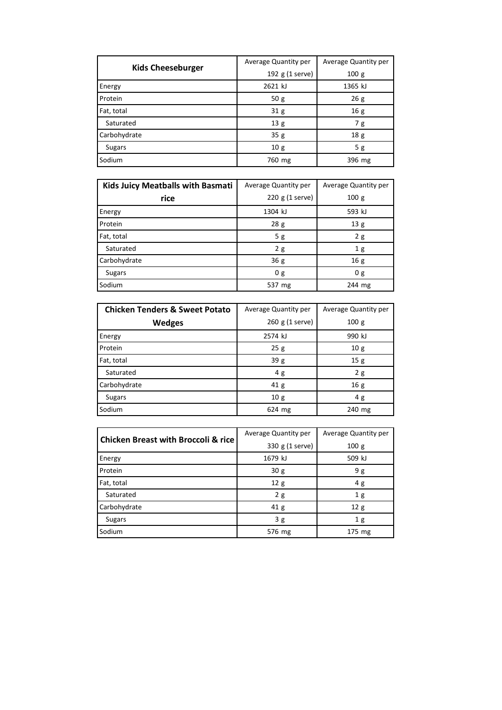| <b>Kids Cheeseburger</b> | Average Quantity per | Average Quantity per |
|--------------------------|----------------------|----------------------|
|                          | 192 g (1 serve)      | 100g                 |
| Energy                   | 2621 kJ              | 1365 kJ              |
| Protein                  | 50g                  | 26g                  |
| Fat, total               | 31 <sub>g</sub>      | 16g                  |
| Saturated                | 13 <sub>g</sub>      | 7 g                  |
| Carbohydrate             | 35g                  | 18 <sub>g</sub>      |
| <b>Sugars</b>            | 10 <sub>g</sub>      | 5g                   |
| Sodium                   | 760 mg               | 396 mg               |

| <b>Kids Juicy Meatballs with Basmati</b> | Average Quantity per | Average Quantity per |  |
|------------------------------------------|----------------------|----------------------|--|
| rice                                     | $220$ g (1 serve)    | 100g                 |  |
| Energy                                   | 1304 kJ              | 593 kJ               |  |
| Protein                                  | 28g                  | 13 <sub>g</sub>      |  |
| Fat, total                               | 5g                   | 2g                   |  |
| Saturated                                | 2g                   | 1 <sub>g</sub>       |  |
| Carbohydrate                             | 36 g                 | 16g                  |  |
| Sugars                                   | 0 g                  | 0 g                  |  |
| Sodium                                   | 537 mg               | 244 mg               |  |

| <b>Chicken Tenders &amp; Sweet Potato</b> | Average Quantity per | Average Quantity per |  |
|-------------------------------------------|----------------------|----------------------|--|
| <b>Wedges</b>                             | 260 g (1 serve)      | 100 <sub>g</sub>     |  |
| Energy                                    | 2574 kJ              | 990 kJ               |  |
| Protein                                   | 25g                  | 10 <sub>g</sub>      |  |
| Fat, total                                | 39g                  | 15g                  |  |
| Saturated                                 | 4g                   | 2g                   |  |
| Carbohydrate                              | 41 g                 | 16g                  |  |
| Sugars                                    | 10g                  | 4g                   |  |
| Sodium                                    | 624 mg               | 240 mg               |  |

| <b>Chicken Breast with Broccoli &amp; rice</b> | Average Quantity per | Average Quantity per |  |
|------------------------------------------------|----------------------|----------------------|--|
|                                                | 330 g (1 serve)      | 100g                 |  |
| Energy                                         | 1679 kJ              | 509 kJ               |  |
| Protein                                        | 30 <sub>g</sub>      | 9 g                  |  |
| Fat, total                                     | 12 <sub>g</sub>      | 4g                   |  |
| Saturated                                      | 2g                   | 1 <sub>g</sub>       |  |
| Carbohydrate                                   | 41 <sub>g</sub>      | 12 <sub>g</sub>      |  |
| <b>Sugars</b>                                  | 3g                   | 1 <sub>g</sub>       |  |
| Sodium                                         | 576 mg               | 175 mg               |  |